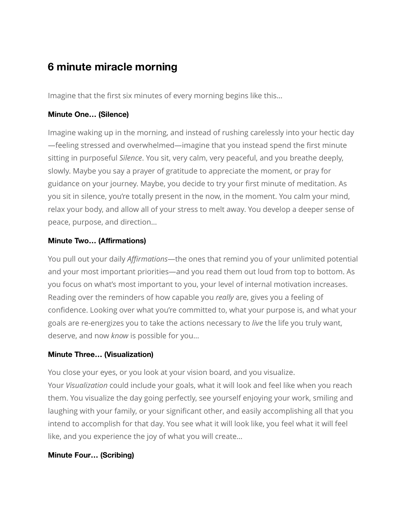# **6 minute miracle morning**

Imagine that the first six minutes of every morning begins like this…

#### **Minute One… (Silence)**

Imagine waking up in the morning, and instead of rushing carelessly into your hectic day —feeling stressed and overwhelmed—imagine that you instead spend the first minute sitting in purposeful *Silence*. You sit, very calm, very peaceful, and you breathe deeply, slowly. Maybe you say a prayer of gratitude to appreciate the moment, or pray for guidance on your journey. Maybe, you decide to try your first minute of meditation. As you sit in silence, you're totally present in the now, in the moment. You calm your mind, relax your body, and allow all of your stress to melt away. You develop a deeper sense of peace, purpose, and direction…

## **Minute Two… (Affirmations)**

You pull out your daily *Affirmations*—the ones that remind you of your unlimited potential and your most important priorities—and you read them out loud from top to bottom. As you focus on what's most important to you, your level of internal motivation increases. Reading over the reminders of how capable you *really* are, gives you a feeling of confidence. Looking over what you're committed to, what your purpose is, and what your goals are re-energizes you to take the actions necessary to *live* the life you truly want, deserve, and now *know* is possible for you…

#### **Minute Three… (Visualization)**

You close your eyes, or you look at your vision board, and you visualize. Your *Visualization* could include your goals, what it will look and feel like when you reach them. You visualize the day going perfectly, see yourself enjoying your work, smiling and laughing with your family, or your significant other, and easily accomplishing all that you intend to accomplish for that day. You see what it will look like, you feel what it will feel like, and you experience the joy of what you will create…

#### **Minute Four… (Scribing)**